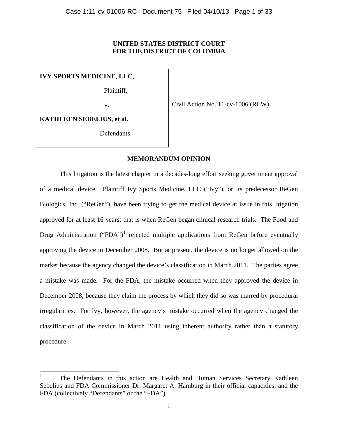# **UNITED STATES DISTRICT COURT FOR THE DISTRICT OF COLUMBIA**

**IVY SPORTS MEDICINE**, **LLC**,

Plaintiff,

v.

Civil Action No. 11-cv-1006 (RLW)

**KATHLEEN SEBELIUS, et al.**,

Defendants.

# **MEMORANDUM OPINION**

This litigation is the latest chapter in a decades-long effort seeking government approval of a medical device. Plaintiff Ivy Sports Medicine, LLC ("Ivy"), or its predecessor ReGen Biologics, Inc. ("ReGen"), have been trying to get the medical device at issue in this litigation approved for at least 16 years; that is when ReGen began clinical research trials. The Food and Drug Administration ("FDA")<sup>[1](#page-0-0)</sup> rejected multiple applications from ReGen before eventually approving the device in December 2008. But at present, the device is no longer allowed on the market because the agency changed the device's classification in March 2011. The parties agree a mistake was made. For the FDA, the mistake occurred when they approved the device in December 2008, because they claim the process by which they did so was marred by procedural irregularities. For Ivy, however, the agency's mistake occurred when the agency changed the classification of the device in March 2011 using inherent authority rather than a statutory procedure.

<span id="page-0-0"></span><sup>1</sup> The Defendants in this action are Health and Human Services Secretary Kathleen Sebelius and FDA Commissioner Dr. Margaret A. Hamburg in their official capacities, and the FDA (collectively "Defendants" or the "FDA").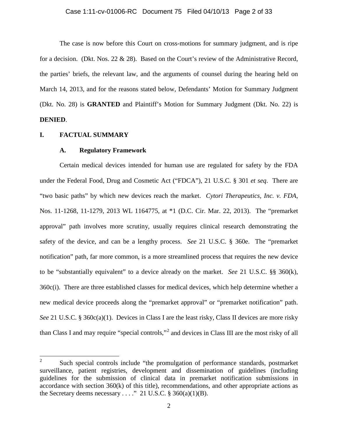#### Case 1:11-cv-01006-RC Document 75 Filed 04/10/13 Page 2 of 33

The case is now before this Court on cross-motions for summary judgment, and is ripe for a decision. (Dkt. Nos. 22 & 28). Based on the Court's review of the Administrative Record, the parties' briefs, the relevant law, and the arguments of counsel during the hearing held on March 14, 2013, and for the reasons stated below, Defendants' Motion for Summary Judgment (Dkt. No. 28) is **GRANTED** and Plaintiff's Motion for Summary Judgment (Dkt. No. 22) is **DENIED**.

#### **I. FACTUAL SUMMARY**

#### **A. Regulatory Framework**

Certain medical devices intended for human use are regulated for safety by the FDA under the Federal Food, Drug and Cosmetic Act ("FDCA"), 21 U.S.C. § 301 *et seq*. There are "two basic paths" by which new devices reach the market. *Cytori Therapeutics, Inc. v. FDA*, Nos. 11-1268, 11-1279, 2013 WL 1164775, at \*1 (D.C. Cir. Mar. 22, 2013). The "premarket approval" path involves more scrutiny, usually requires clinical research demonstrating the safety of the device, and can be a lengthy process. *See* 21 U.S.C. § 360e. The "premarket notification" path, far more common, is a more streamlined process that requires the new device to be "substantially equivalent" to a device already on the market. *See* 21 U.S.C. §§ 360(k), 360c(i). There are three established classes for medical devices, which help determine whether a new medical device proceeds along the "premarket approval" or "premarket notification" path. *See* 21 U.S.C. § 360c(a)(1). Devices in Class I are the least risky, Class II devices are more risky than Class I and may require "special controls,"[2](#page-1-0) and devices in Class III are the most risky of all

<span id="page-1-0"></span><sup>&</sup>lt;sup>2</sup> Such special controls include "the promulgation of performance standards, postmarket surveillance, patient registries, development and dissemination of guidelines (including guidelines for the submission of clinical data in premarket notification submissions in accordance with section  $360(k)$  of this title), recommendations, and other appropriate actions as the Secretary deems necessary . . . ." 21 U.S.C.  $\S$  360(a)(1)(B).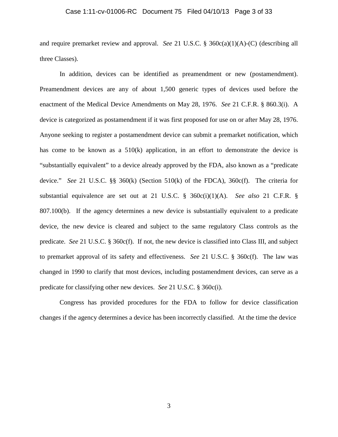#### Case 1:11-cv-01006-RC Document 75 Filed 04/10/13 Page 3 of 33

and require premarket review and approval. *See* 21 U.S.C. § 360c(a)(1)(A)-(C) (describing all three Classes).

In addition, devices can be identified as preamendment or new (postamendment). Preamendment devices are any of about 1,500 generic types of devices used before the enactment of the Medical Device Amendments on May 28, 1976. *See* 21 C.F.R. § 860.3(i). A device is categorized as postamendment if it was first proposed for use on or after May 28, 1976. Anyone seeking to register a postamendment device can submit a premarket notification, which has come to be known as a 510(k) application, in an effort to demonstrate the device is "substantially equivalent" to a device already approved by the FDA, also known as a "predicate device." *See* 21 U.S.C. §§ 360(k) (Section 510(k) of the FDCA), 360c(f). The criteria for substantial equivalence are set out at 21 U.S.C. § 360c(i)(1)(A). *See also* 21 C.F.R. § 807.100(b). If the agency determines a new device is substantially equivalent to a predicate device, the new device is cleared and subject to the same regulatory Class controls as the predicate. *See* 21 U.S.C. § 360c(f). If not, the new device is classified into Class III, and subject to premarket approval of its safety and effectiveness. *See* 21 U.S.C. § 360c(f). The law was changed in 1990 to clarify that most devices, including postamendment devices, can serve as a predicate for classifying other new devices. *See* 21 U.S.C. § 360c(i).

Congress has provided procedures for the FDA to follow for device classification changes if the agency determines a device has been incorrectly classified. At the time the device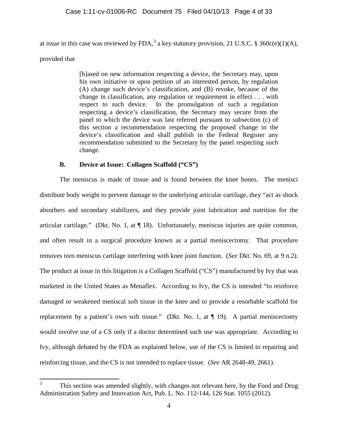at issue in this case was reviewed by FDA,<sup>[3](#page-3-0)</sup> a key statutory provision, 21 U.S.C. § 360c(e)(1)(A),

provided that

[b]ased on new information respecting a device, the Secretary may, upon his own initiative or upon petition of an interested person, by regulation (A) change such device's classification, and (B) revoke, because of the change in classification, any regulation or requirement in effect . . . with respect to such device. In the promulgation of such a regulation respecting a device's classification, the Secretary may secure from the panel to which the device was last referred pursuant to subsection (c) of this section a recommendation respecting the proposed change in the device's classification and shall publish in the Federal Register any recommendation submitted to the Secretary by the panel respecting such change.

# **B. Device at Issue: Collagen Scaffold ("CS")**

The meniscus is made of tissue and is found between the knee bones. The menisci distribute body weight to prevent damage to the underlying articular cartilage, they "act as shock absorbers and secondary stabilizers, and they provide joint lubrication and nutrition for the articular cartilage." (Dkt. No. 1, at ¶ 18). Unfortunately, meniscus injuries are quite common, and often result in a surgical procedure known as a partial meniscectomy. That procedure removes torn meniscus cartilage interfering with knee joint function. (*See* Dkt. No. 69, at 9 n.2). The product at issue in this litigation is a Collagen Scaffold ("CS") manufactured by Ivy that was marketed in the United States as Menaflex. According to Ivy, the CS is intended "to reinforce damaged or weakened meniscal soft tissue in the knee and to provide a resorbable scaffold for replacement by a patient's own soft tissue." (Dkt. No. 1, at  $\P$  19). A partial meniscectomy would involve use of a CS only if a doctor determined such use was appropriate. According to Ivy, although debated by the FDA as explained below, use of the CS is limited to repairing and reinforcing tissue, and the CS is not intended to replace tissue. (*See* AR 2648-49, 2661).

<span id="page-3-0"></span><sup>&</sup>lt;sup>3</sup> This section was amended slightly, with changes not relevant here, by the Food and Drug Administration Safety and Innovation Act, Pub. L. No. 112-144, 126 Stat. 1055 (2012).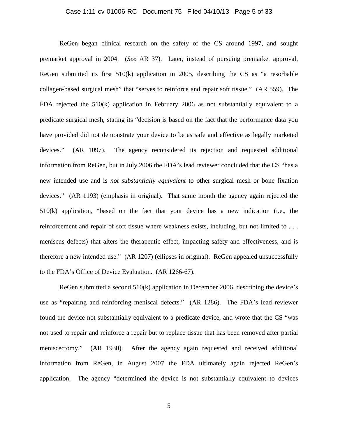#### Case 1:11-cv-01006-RC Document 75 Filed 04/10/13 Page 5 of 33

ReGen began clinical research on the safety of the CS around 1997, and sought premarket approval in 2004. (*See* AR 37). Later, instead of pursuing premarket approval, ReGen submitted its first  $510(k)$  application in 2005, describing the CS as "a resorbable collagen-based surgical mesh" that "serves to reinforce and repair soft tissue." (AR 559). The FDA rejected the 510(k) application in February 2006 as not substantially equivalent to a predicate surgical mesh, stating its "decision is based on the fact that the performance data you have provided did not demonstrate your device to be as safe and effective as legally marketed devices." (AR 1097). The agency reconsidered its rejection and requested additional information from ReGen, but in July 2006 the FDA's lead reviewer concluded that the CS "has a new intended use and is *not substantially equivalent* to other surgical mesh or bone fixation devices." (AR 1193) (emphasis in original). That same month the agency again rejected the 510(k) application, "based on the fact that your device has a new indication (i.e., the reinforcement and repair of soft tissue where weakness exists, including, but not limited to . . . meniscus defects) that alters the therapeutic effect, impacting safety and effectiveness, and is therefore a new intended use." (AR 1207) (ellipses in original). ReGen appealed unsuccessfully to the FDA's Office of Device Evaluation. (AR 1266-67).

ReGen submitted a second 510(k) application in December 2006, describing the device's use as "repairing and reinforcing meniscal defects." (AR 1286). The FDA's lead reviewer found the device not substantially equivalent to a predicate device, and wrote that the CS "was not used to repair and reinforce a repair but to replace tissue that has been removed after partial meniscectomy." (AR 1930). After the agency again requested and received additional information from ReGen, in August 2007 the FDA ultimately again rejected ReGen's application. The agency "determined the device is not substantially equivalent to devices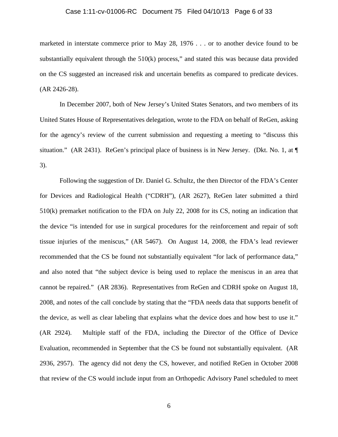#### Case 1:11-cv-01006-RC Document 75 Filed 04/10/13 Page 6 of 33

marketed in interstate commerce prior to May 28, 1976 . . . or to another device found to be substantially equivalent through the 510(k) process," and stated this was because data provided on the CS suggested an increased risk and uncertain benefits as compared to predicate devices. (AR 2426-28).

In December 2007, both of New Jersey's United States Senators, and two members of its United States House of Representatives delegation, wrote to the FDA on behalf of ReGen, asking for the agency's review of the current submission and requesting a meeting to "discuss this situation." (AR 2431). ReGen's principal place of business is in New Jersey. (Dkt. No. 1, at  $\P$ 3).

Following the suggestion of Dr. Daniel G. Schultz, the then Director of the FDA's Center for Devices and Radiological Health ("CDRH"), (AR 2627), ReGen later submitted a third 510(k) premarket notification to the FDA on July 22, 2008 for its CS, noting an indication that the device "is intended for use in surgical procedures for the reinforcement and repair of soft tissue injuries of the meniscus," (AR 5467). On August 14, 2008, the FDA's lead reviewer recommended that the CS be found not substantially equivalent "for lack of performance data," and also noted that "the subject device is being used to replace the meniscus in an area that cannot be repaired." (AR 2836). Representatives from ReGen and CDRH spoke on August 18, 2008, and notes of the call conclude by stating that the "FDA needs data that supports benefit of the device, as well as clear labeling that explains what the device does and how best to use it." (AR 2924). Multiple staff of the FDA, including the Director of the Office of Device Evaluation, recommended in September that the CS be found not substantially equivalent. (AR 2936, 2957). The agency did not deny the CS, however, and notified ReGen in October 2008 that review of the CS would include input from an Orthopedic Advisory Panel scheduled to meet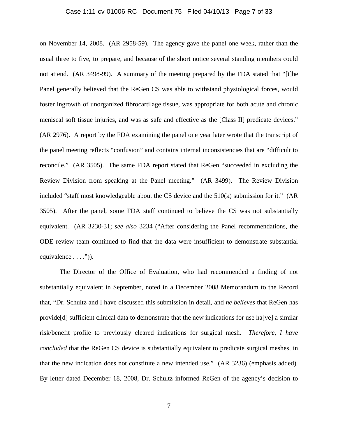#### Case 1:11-cv-01006-RC Document 75 Filed 04/10/13 Page 7 of 33

on November 14, 2008. (AR 2958-59). The agency gave the panel one week, rather than the usual three to five, to prepare, and because of the short notice several standing members could not attend. (AR 3498-99). A summary of the meeting prepared by the FDA stated that "[t]he Panel generally believed that the ReGen CS was able to withstand physiological forces, would foster ingrowth of unorganized fibrocartilage tissue, was appropriate for both acute and chronic meniscal soft tissue injuries, and was as safe and effective as the [Class II] predicate devices." (AR 2976). A report by the FDA examining the panel one year later wrote that the transcript of the panel meeting reflects "confusion" and contains internal inconsistencies that are "difficult to reconcile." (AR 3505). The same FDA report stated that ReGen "succeeded in excluding the Review Division from speaking at the Panel meeting." (AR 3499). The Review Division included "staff most knowledgeable about the CS device and the 510(k) submission for it." (AR 3505). After the panel, some FDA staff continued to believe the CS was not substantially equivalent. (AR 3230-31; *see also* 3234 ("After considering the Panel recommendations, the ODE review team continued to find that the data were insufficient to demonstrate substantial equivalence  $\dots$ .")).

The Director of the Office of Evaluation, who had recommended a finding of not substantially equivalent in September, noted in a December 2008 Memorandum to the Record that, "Dr. Schultz and I have discussed this submission in detail, and *he believes* that ReGen has provide[d] sufficient clinical data to demonstrate that the new indications for use ha[ve] a similar risk/benefit profile to previously cleared indications for surgical mesh. *Therefore, I have concluded* that the ReGen CS device is substantially equivalent to predicate surgical meshes, in that the new indication does not constitute a new intended use." (AR 3236) (emphasis added). By letter dated December 18, 2008, Dr. Schultz informed ReGen of the agency's decision to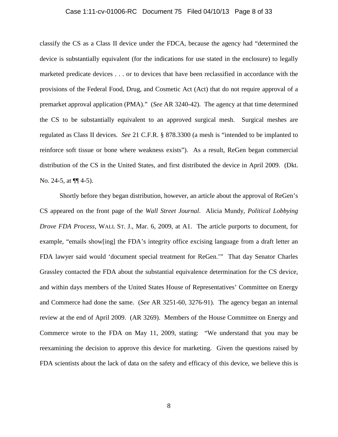#### Case 1:11-cv-01006-RC Document 75 Filed 04/10/13 Page 8 of 33

classify the CS as a Class II device under the FDCA, because the agency had "determined the device is substantially equivalent (for the indications for use stated in the enclosure) to legally marketed predicate devices . . . or to devices that have been reclassified in accordance with the provisions of the Federal Food, Drug, and Cosmetic Act (Act) that do not require approval of a premarket approval application (PMA)." (*See* AR 3240-42). The agency at that time determined the CS to be substantially equivalent to an approved surgical mesh. Surgical meshes are regulated as Class II devices. *See* 21 C.F.R. § 878.3300 (a mesh is "intended to be implanted to reinforce soft tissue or bone where weakness exists"). As a result, ReGen began commercial distribution of the CS in the United States, and first distributed the device in April 2009. (Dkt. No. 24-5, at  $\P$ [4-5).

Shortly before they began distribution, however, an article about the approval of ReGen's CS appeared on the front page of the *Wall Street Journal*. Alicia Mundy, *Political Lobbying Drove FDA Process*, WALL ST. J., Mar. 6, 2009, at A1. The article purports to document, for example, "emails show[ing] the FDA's integrity office excising language from a draft letter an FDA lawyer said would 'document special treatment for ReGen.'" That day Senator Charles Grassley contacted the FDA about the substantial equivalence determination for the CS device, and within days members of the United States House of Representatives' Committee on Energy and Commerce had done the same. (*See* AR 3251-60, 3276-91). The agency began an internal review at the end of April 2009. (AR 3269). Members of the House Committee on Energy and Commerce wrote to the FDA on May 11, 2009, stating: "We understand that you may be reexamining the decision to approve this device for marketing. Given the questions raised by FDA scientists about the lack of data on the safety and efficacy of this device, we believe this is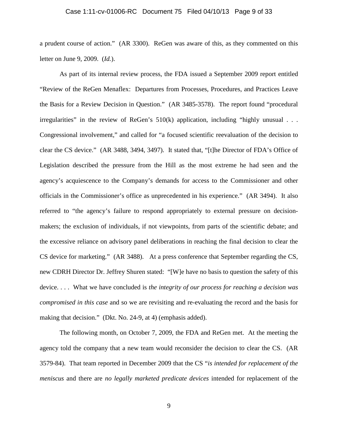#### Case 1:11-cv-01006-RC Document 75 Filed 04/10/13 Page 9 of 33

a prudent course of action." (AR 3300). ReGen was aware of this, as they commented on this letter on June 9, 2009. (*Id.*).

As part of its internal review process, the FDA issued a September 2009 report entitled "Review of the ReGen Menaflex: Departures from Processes, Procedures, and Practices Leave the Basis for a Review Decision in Question." (AR 3485-3578). The report found "procedural irregularities" in the review of ReGen's 510(k) application, including "highly unusual . . . Congressional involvement," and called for "a focused scientific reevaluation of the decision to clear the CS device." (AR 3488, 3494, 3497). It stated that, "[t]he Director of FDA's Office of Legislation described the pressure from the Hill as the most extreme he had seen and the agency's acquiescence to the Company's demands for access to the Commissioner and other officials in the Commissioner's office as unprecedented in his experience." (AR 3494). It also referred to "the agency's failure to respond appropriately to external pressure on decisionmakers; the exclusion of individuals, if not viewpoints, from parts of the scientific debate; and the excessive reliance on advisory panel deliberations in reaching the final decision to clear the CS device for marketing." (AR 3488). At a press conference that September regarding the CS, new CDRH Director Dr. Jeffrey Shuren stated: "[W]e have no basis to question the safety of this device. . . . What we have concluded is *the integrity of our process for reaching a decision was compromised in this case* and so we are revisiting and re-evaluating the record and the basis for making that decision." (Dkt. No. 24-9, at 4) (emphasis added).

The following month, on October 7, 2009, the FDA and ReGen met. At the meeting the agency told the company that a new team would reconsider the decision to clear the CS. (AR 3579-84). That team reported in December 2009 that the CS "*is intended for replacement of the meniscus* and there are *no legally marketed predicate devices* intended for replacement of the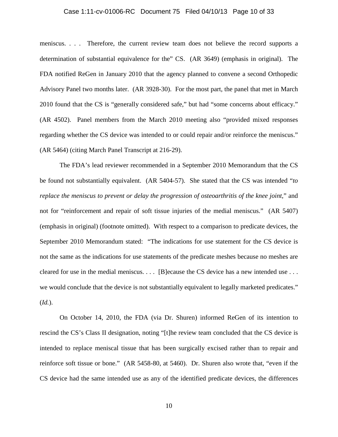#### Case 1:11-cv-01006-RC Document 75 Filed 04/10/13 Page 10 of 33

meniscus. . . . Therefore, the current review team does not believe the record supports a determination of substantial equivalence for the" CS. (AR 3649) (emphasis in original). The FDA notified ReGen in January 2010 that the agency planned to convene a second Orthopedic Advisory Panel two months later. (AR 3928-30). For the most part, the panel that met in March 2010 found that the CS is "generally considered safe," but had "some concerns about efficacy." (AR 4502). Panel members from the March 2010 meeting also "provided mixed responses regarding whether the CS device was intended to or could repair and/or reinforce the meniscus." (AR 5464) (citing March Panel Transcript at 216-29).

The FDA's lead reviewer recommended in a September 2010 Memorandum that the CS be found not substantially equivalent. (AR 5404-57). She stated that the CS was intended "*to replace the meniscus to prevent or delay the progression of osteoarthritis of the knee joint*," and not for "reinforcement and repair of soft tissue injuries of the medial meniscus." (AR 5407) (emphasis in original) (footnote omitted). With respect to a comparison to predicate devices, the September 2010 Memorandum stated: "The indications for use statement for the CS device is not the same as the indications for use statements of the predicate meshes because no meshes are cleared for use in the medial meniscus. . . . [B]ecause the CS device has a new intended use . . . we would conclude that the device is not substantially equivalent to legally marketed predicates." (*Id.*).

On October 14, 2010, the FDA (via Dr. Shuren) informed ReGen of its intention to rescind the CS's Class II designation, noting "[t]he review team concluded that the CS device is intended to replace meniscal tissue that has been surgically excised rather than to repair and reinforce soft tissue or bone." (AR 5458-80, at 5460). Dr. Shuren also wrote that, "even if the CS device had the same intended use as any of the identified predicate devices, the differences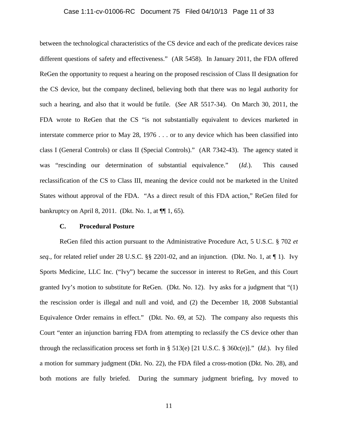#### Case 1:11-cv-01006-RC Document 75 Filed 04/10/13 Page 11 of 33

between the technological characteristics of the CS device and each of the predicate devices raise different questions of safety and effectiveness." (AR 5458). In January 2011, the FDA offered ReGen the opportunity to request a hearing on the proposed rescission of Class II designation for the CS device, but the company declined, believing both that there was no legal authority for such a hearing, and also that it would be futile. (*See* AR 5517-34). On March 30, 2011, the FDA wrote to ReGen that the CS "is not substantially equivalent to devices marketed in interstate commerce prior to May 28, 1976 . . . or to any device which has been classified into class I (General Controls) or class II (Special Controls)." (AR 7342-43). The agency stated it was "rescinding our determination of substantial equivalence." (*Id.*). This caused reclassification of the CS to Class III, meaning the device could not be marketed in the United States without approval of the FDA. "As a direct result of this FDA action," ReGen filed for bankruptcy on April 8, 2011. (Dkt. No. 1, at ¶¶ 1, 65).

## **C. Procedural Posture**

ReGen filed this action pursuant to the Administrative Procedure Act, 5 U.S.C. § 702 *et seq.*, for related relief under 28 U.S.C. §§ 2201-02, and an injunction. (Dkt. No. 1, at ¶ 1). Ivy Sports Medicine, LLC Inc. ("Ivy") became the successor in interest to ReGen, and this Court granted Ivy's motion to substitute for ReGen. (Dkt. No. 12). Ivy asks for a judgment that "(1) the rescission order is illegal and null and void, and (2) the December 18, 2008 Substantial Equivalence Order remains in effect." (Dkt. No. 69, at 52). The company also requests this Court "enter an injunction barring FDA from attempting to reclassify the CS device other than through the reclassification process set forth in § 513(e) [21 U.S.C. § 360c(e)]." (*Id.*). Ivy filed a motion for summary judgment (Dkt. No. 22), the FDA filed a cross-motion (Dkt. No. 28), and both motions are fully briefed. During the summary judgment briefing, Ivy moved to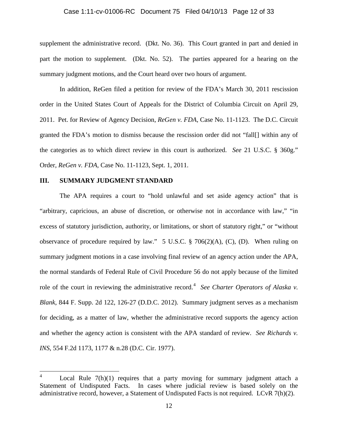#### Case 1:11-cv-01006-RC Document 75 Filed 04/10/13 Page 12 of 33

supplement the administrative record. (Dkt. No. 36). This Court granted in part and denied in part the motion to supplement. (Dkt. No. 52). The parties appeared for a hearing on the summary judgment motions, and the Court heard over two hours of argument.

In addition, ReGen filed a petition for review of the FDA's March 30, 2011 rescission order in the United States Court of Appeals for the District of Columbia Circuit on April 29, 2011. Pet. for Review of Agency Decision, *ReGen v. FDA*, Case No. 11-1123. The D.C. Circuit granted the FDA's motion to dismiss because the rescission order did not "fall[] within any of the categories as to which direct review in this court is authorized. *See* 21 U.S.C. § 360g." Order, *ReGen v. FDA*, Case No. 11-1123, Sept. 1, 2011.

### **III. SUMMARY JUDGMENT STANDARD**

The APA requires a court to "hold unlawful and set aside agency action" that is "arbitrary, capricious, an abuse of discretion, or otherwise not in accordance with law," "in excess of statutory jurisdiction, authority, or limitations, or short of statutory right," or "without observance of procedure required by law." 5 U.S.C.  $\S$  706(2)(A), (C), (D). When ruling on summary judgment motions in a case involving final review of an agency action under the APA, the normal standards of Federal Rule of Civil Procedure 56 do not apply because of the limited role of the court in reviewing the administrative record.<sup>[4](#page-11-0)</sup> See Charter Operators of Alaska v. *Blank*, 844 F. Supp. 2d 122, 126-27 (D.D.C. 2012). Summary judgment serves as a mechanism for deciding, as a matter of law, whether the administrative record supports the agency action and whether the agency action is consistent with the APA standard of review. *See Richards v. INS*, 554 F.2d 1173, 1177 & n.28 (D.C. Cir. 1977).

<span id="page-11-0"></span>Local Rule  $7(h)(1)$  requires that a party moving for summary judgment attach a Statement of Undisputed Facts. In cases where judicial review is based solely on the administrative record, however, a Statement of Undisputed Facts is not required. LCvR 7(h)(2).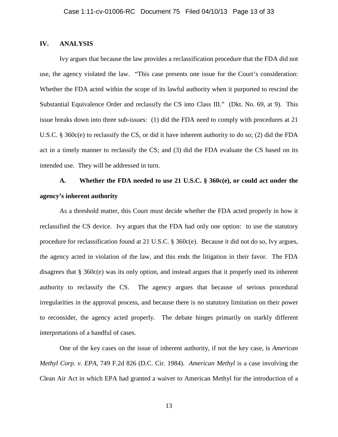## **IV. ANALYSIS**

Ivy argues that because the law provides a reclassification procedure that the FDA did not use, the agency violated the law. "This case presents one issue for the Court's consideration: Whether the FDA acted within the scope of its lawful authority when it purported to rescind the Substantial Equivalence Order and reclassify the CS into Class III." (Dkt. No. 69, at 9). This issue breaks down into three sub-issues: (1) did the FDA need to comply with procedures at 21 U.S.C. § 360c(e) to reclassify the CS, or did it have inherent authority to do so; (2) did the FDA act in a timely manner to reclassify the CS; and (3) did the FDA evaluate the CS based on its intended use. They will be addressed in turn.

# **A. Whether the FDA needed to use 21 U.S.C. § 360c(e), or could act under the agency's inherent authority**

As a threshold matter, this Court must decide whether the FDA acted properly in how it reclassified the CS device. Ivy argues that the FDA had only one option: to use the statutory procedure for reclassification found at 21 U.S.C.  $\S$  360 $c$ (e). Because it did not do so, Ivy argues, the agency acted in violation of the law, and this ends the litigation in their favor. The FDA disagrees that § 360c(e) was its only option, and instead argues that it properly used its inherent authority to reclassify the CS. The agency argues that because of serious procedural irregularities in the approval process, and because there is no statutory limitation on their power to reconsider, the agency acted properly. The debate hinges primarily on starkly different interpretations of a handful of cases.

One of the key cases on the issue of inherent authority, if not the key case, is *American Methyl Corp. v. EPA*, 749 F.2d 826 (D.C. Cir. 1984). *American Methyl* is a case involving the Clean Air Act in which EPA had granted a waiver to American Methyl for the introduction of a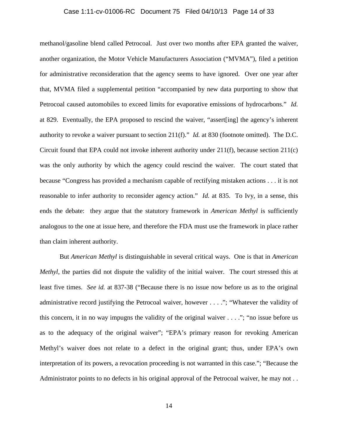#### Case 1:11-cv-01006-RC Document 75 Filed 04/10/13 Page 14 of 33

methanol/gasoline blend called Petrocoal. Just over two months after EPA granted the waiver, another organization, the Motor Vehicle Manufacturers Association ("MVMA"), filed a petition for administrative reconsideration that the agency seems to have ignored. Over one year after that, MVMA filed a supplemental petition "accompanied by new data purporting to show that Petrocoal caused automobiles to exceed limits for evaporative emissions of hydrocarbons." *Id.* at 829. Eventually, the EPA proposed to rescind the waiver, "assert[ing] the agency's inherent authority to revoke a waiver pursuant to section 211(f)." *Id.* at 830 (footnote omitted). The D.C. Circuit found that EPA could not invoke inherent authority under  $211(f)$ , because section  $211(c)$ was the only authority by which the agency could rescind the waiver. The court stated that because "Congress has provided a mechanism capable of rectifying mistaken actions . . . it is not reasonable to infer authority to reconsider agency action." *Id.* at 835. To Ivy, in a sense, this ends the debate: they argue that the statutory framework in *American Methyl* is sufficiently analogous to the one at issue here, and therefore the FDA must use the framework in place rather than claim inherent authority.

But *American Methyl* is distinguishable in several critical ways. One is that in *American Methyl*, the parties did not dispute the validity of the initial waiver. The court stressed this at least five times. *See id.* at 837-38 ("Because there is no issue now before us as to the original administrative record justifying the Petrocoal waiver, however . . . ."; "Whatever the validity of this concern, it in no way impugns the validity of the original waiver  $\dots$ ."; "no issue before us as to the adequacy of the original waiver"; "EPA's primary reason for revoking American Methyl's waiver does not relate to a defect in the original grant; thus, under EPA's own interpretation of its powers, a revocation proceeding is not warranted in this case."; "Because the Administrator points to no defects in his original approval of the Petrocoal waiver, he may not . .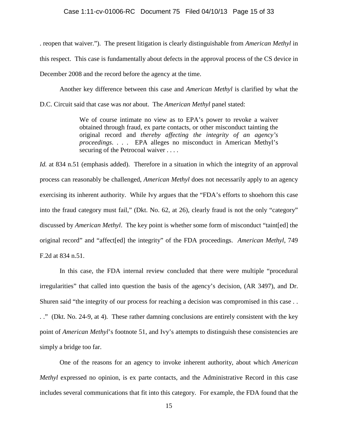#### Case 1:11-cv-01006-RC Document 75 Filed 04/10/13 Page 15 of 33

. reopen that waiver."). The present litigation is clearly distinguishable from *American Methyl* in this respect. This case is fundamentally about defects in the approval process of the CS device in December 2008 and the record before the agency at the time.

Another key difference between this case and *American Methyl* is clarified by what the D.C. Circuit said that case was *not* about. The *American Methyl* panel stated:

> We of course intimate no view as to EPA's power to revoke a waiver obtained through fraud, ex parte contacts, or other misconduct tainting the original record and *thereby affecting the integrity of an agency's proceedings*. . . . EPA alleges no misconduct in American Methyl's securing of the Petrocoal waiver . . . .

*Id.* at 834 n.51 (emphasis added). Therefore in a situation in which the integrity of an approval process can reasonably be challenged, *American Methyl* does not necessarily apply to an agency exercising its inherent authority. While Ivy argues that the "FDA's efforts to shoehorn this case into the fraud category must fail," (Dkt. No. 62, at 26), clearly fraud is not the only "category" discussed by *American Methyl*. The key point is whether some form of misconduct "taint[ed] the original record" and "affect[ed] the integrity" of the FDA proceedings. *American Methyl*, 749 F.2d at 834 n.51.

In this case, the FDA internal review concluded that there were multiple "procedural irregularities" that called into question the basis of the agency's decision, (AR 3497), and Dr. Shuren said "the integrity of our process for reaching a decision was compromised in this case . . . ." (Dkt. No. 24-9, at 4). These rather damning conclusions are entirely consistent with the key point of *American Methyl*'s footnote 51, and Ivy's attempts to distinguish these consistencies are simply a bridge too far.

One of the reasons for an agency to invoke inherent authority, about which *American Methyl* expressed no opinion, is ex parte contacts, and the Administrative Record in this case includes several communications that fit into this category. For example, the FDA found that the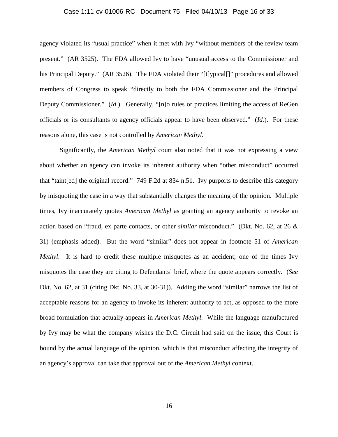#### Case 1:11-cv-01006-RC Document 75 Filed 04/10/13 Page 16 of 33

agency violated its "usual practice" when it met with Ivy "without members of the review team present." (AR 3525). The FDA allowed Ivy to have "unusual access to the Commissioner and his Principal Deputy." (AR 3526). The FDA violated their "[t]ypical]]" procedures and allowed members of Congress to speak "directly to both the FDA Commissioner and the Principal Deputy Commissioner." (*Id.*). Generally, "[n]o rules or practices limiting the access of ReGen officials or its consultants to agency officials appear to have been observed." (*Id.*). For these reasons alone, this case is not controlled by *American Methyl*.

Significantly, the *American Methyl* court also noted that it was not expressing a view about whether an agency can invoke its inherent authority when "other misconduct" occurred that "taint[ed] the original record." 749 F.2d at 834 n.51. Ivy purports to describe this category by misquoting the case in a way that substantially changes the meaning of the opinion. Multiple times, Ivy inaccurately quotes *American Methyl* as granting an agency authority to revoke an action based on "fraud, ex parte contacts, or other *similar* misconduct." (Dkt. No. 62, at 26 & 31) (emphasis added). But the word "similar" does not appear in footnote 51 of *American Methyl*. It is hard to credit these multiple misquotes as an accident; one of the times Ivy misquotes the case they are citing to Defendants' brief, where the quote appears correctly. (*See* Dkt. No. 62, at 31 (citing Dkt. No. 33, at 30-31)). Adding the word "similar" narrows the list of acceptable reasons for an agency to invoke its inherent authority to act, as opposed to the more broad formulation that actually appears in *American Methyl*. While the language manufactured by Ivy may be what the company wishes the D.C. Circuit had said on the issue, this Court is bound by the actual language of the opinion, which is that misconduct affecting the integrity of an agency's approval can take that approval out of the *American Methyl* context.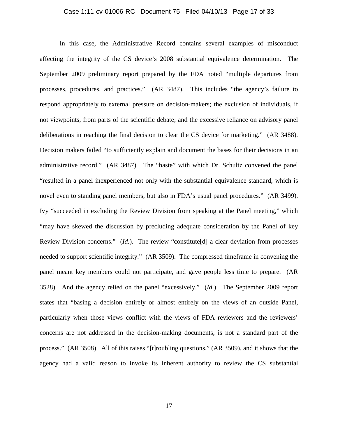#### Case 1:11-cv-01006-RC Document 75 Filed 04/10/13 Page 17 of 33

In this case, the Administrative Record contains several examples of misconduct affecting the integrity of the CS device's 2008 substantial equivalence determination. The September 2009 preliminary report prepared by the FDA noted "multiple departures from processes, procedures, and practices." (AR 3487). This includes "the agency's failure to respond appropriately to external pressure on decision-makers; the exclusion of individuals, if not viewpoints, from parts of the scientific debate; and the excessive reliance on advisory panel deliberations in reaching the final decision to clear the CS device for marketing." (AR 3488). Decision makers failed "to sufficiently explain and document the bases for their decisions in an administrative record." (AR 3487). The "haste" with which Dr. Schultz convened the panel "resulted in a panel inexperienced not only with the substantial equivalence standard, which is novel even to standing panel members, but also in FDA's usual panel procedures." (AR 3499). Ivy "succeeded in excluding the Review Division from speaking at the Panel meeting," which "may have skewed the discussion by precluding adequate consideration by the Panel of key Review Division concerns." (*Id.*). The review "constitute[d] a clear deviation from processes needed to support scientific integrity." (AR 3509). The compressed timeframe in convening the panel meant key members could not participate, and gave people less time to prepare. (AR 3528). And the agency relied on the panel "excessively." (*Id.*). The September 2009 report states that "basing a decision entirely or almost entirely on the views of an outside Panel, particularly when those views conflict with the views of FDA reviewers and the reviewers' concerns are not addressed in the decision-making documents, is not a standard part of the process." (AR 3508). All of this raises "[t]roubling questions," (AR 3509), and it shows that the agency had a valid reason to invoke its inherent authority to review the CS substantial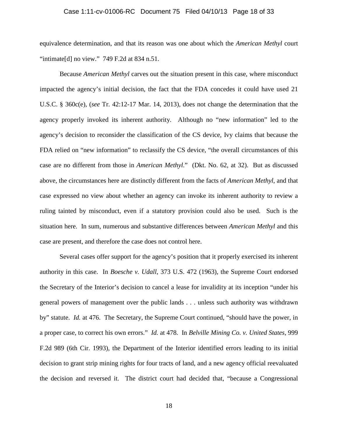#### Case 1:11-cv-01006-RC Document 75 Filed 04/10/13 Page 18 of 33

equivalence determination, and that its reason was one about which the *American Methyl* court "intimate[d] no view."  $749$  F.2d at 834 n.51.

Because *American Methyl* carves out the situation present in this case, where misconduct impacted the agency's initial decision, the fact that the FDA concedes it could have used 21 U.S.C. § 360c(e), (*see* Tr. 42:12-17 Mar. 14, 2013), does not change the determination that the agency properly invoked its inherent authority. Although no "new information" led to the agency's decision to reconsider the classification of the CS device, Ivy claims that because the FDA relied on "new information" to reclassify the CS device, "the overall circumstances of this case are no different from those in *American Methyl*." (Dkt. No. 62, at 32). But as discussed above, the circumstances here are distinctly different from the facts of *American Methyl*, and that case expressed no view about whether an agency can invoke its inherent authority to review a ruling tainted by misconduct, even if a statutory provision could also be used. Such is the situation here. In sum, numerous and substantive differences between *American Methyl* and this case are present, and therefore the case does not control here.

Several cases offer support for the agency's position that it properly exercised its inherent authority in this case. In *Boesche v. Udall*, 373 U.S. 472 (1963), the Supreme Court endorsed the Secretary of the Interior's decision to cancel a lease for invalidity at its inception "under his general powers of management over the public lands . . . unless such authority was withdrawn by" statute. *Id.* at 476. The Secretary, the Supreme Court continued, "should have the power, in a proper case, to correct his own errors." *Id.* at 478. In *Belville Mining Co. v. United States*, 999 F.2d 989 (6th Cir. 1993), the Department of the Interior identified errors leading to its initial decision to grant strip mining rights for four tracts of land, and a new agency official reevaluated the decision and reversed it. The district court had decided that, "because a Congressional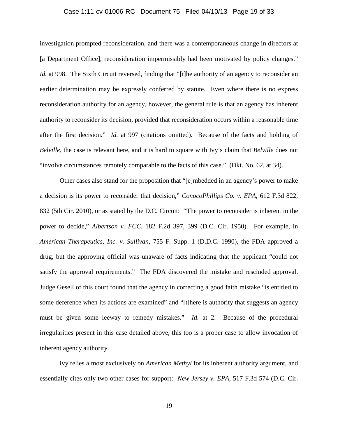#### Case 1:11-cv-01006-RC Document 75 Filed 04/10/13 Page 19 of 33

investigation prompted reconsideration, and there was a contemporaneous change in directors at [a Department Office], reconsideration impermissibly had been motivated by policy changes." *Id.* at 998. The Sixth Circuit reversed, finding that "[t]he authority of an agency to reconsider an earlier determination may be expressly conferred by statute. Even where there is no express reconsideration authority for an agency, however, the general rule is that an agency has inherent authority to reconsider its decision, provided that reconsideration occurs within a reasonable time after the first decision." *Id.* at 997 (citations omitted). Because of the facts and holding of *Belville*, the case is relevant here, and it is hard to square with Ivy's claim that *Belville* does not "involve circumstances remotely comparable to the facts of this case." (Dkt. No. 62, at 34).

Other cases also stand for the proposition that "[e]mbedded in an agency's power to make a decision is its power to reconsider that decision," *ConocoPhillips Co. v. EPA*, 612 F.3d 822, 832 (5th Cir. 2010), or as stated by the D.C. Circuit: "The power to reconsider is inherent in the power to decide," *Albertson v. FCC*, 182 F.2d 397, 399 (D.C. Cir. 1950). For example, in *American Therapeutics, Inc. v. Sullivan*, 755 F. Supp. 1 (D.D.C. 1990), the FDA approved a drug, but the approving official was unaware of facts indicating that the applicant "could not satisfy the approval requirements." The FDA discovered the mistake and rescinded approval. Judge Gesell of this court found that the agency in correcting a good faith mistake "is entitled to some deference when its actions are examined" and "[t]here is authority that suggests an agency must be given some leeway to remedy mistakes." *Id.* at 2. Because of the procedural irregularities present in this case detailed above, this too is a proper case to allow invocation of inherent agency authority.

Ivy relies almost exclusively on *American Methyl* for its inherent authority argument, and essentially cites only two other cases for support: *New Jersey v. EPA*, 517 F.3d 574 (D.C. Cir.

19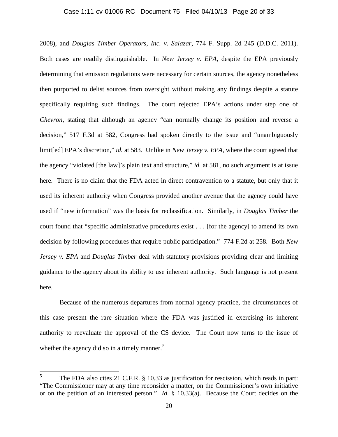#### Case 1:11-cv-01006-RC Document 75 Filed 04/10/13 Page 20 of 33

2008), and *Douglas Timber Operators, Inc. v. Salazar*, 774 F. Supp. 2d 245 (D.D.C. 2011). Both cases are readily distinguishable. In *New Jersey v. EPA*, despite the EPA previously determining that emission regulations were necessary for certain sources, the agency nonetheless then purported to delist sources from oversight without making any findings despite a statute specifically requiring such findings. The court rejected EPA's actions under step one of *Chevron*, stating that although an agency "can normally change its position and reverse a decision," 517 F.3d at 582, Congress had spoken directly to the issue and "unambiguously limit[ed] EPA's discretion," *id.* at 583. Unlike in *New Jersey v. EPA*, where the court agreed that the agency "violated [the law]'s plain text and structure," *id.* at 581, no such argument is at issue here. There is no claim that the FDA acted in direct contravention to a statute, but only that it used its inherent authority when Congress provided another avenue that the agency could have used if "new information" was the basis for reclassification. Similarly, in *Douglas Timber* the court found that "specific administrative procedures exist . . . [for the agency] to amend its own decision by following procedures that require public participation." 774 F.2d at 258. Both *New Jersey v. EPA* and *Douglas Timber* deal with statutory provisions providing clear and limiting guidance to the agency about its ability to use inherent authority. Such language is not present here.

Because of the numerous departures from normal agency practice, the circumstances of this case present the rare situation where the FDA was justified in exercising its inherent authority to reevaluate the approval of the CS device. The Court now turns to the issue of whether the agency did so in a timely manner. $5$ 

<span id="page-19-0"></span>The FDA also cites 21 C.F.R. § 10.33 as justification for rescission, which reads in part: "The Commissioner may at any time reconsider a matter, on the Commissioner's own initiative or on the petition of an interested person." *Id.* § 10.33(a). Because the Court decides on the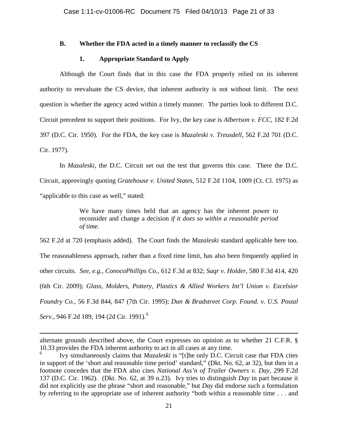#### **B. Whether the FDA acted in a timely manner to reclassify the CS**

## **1. Appropriate Standard to Apply**

Although the Court finds that in this case the FDA properly relied on its inherent authority to reevaluate the CS device, that inherent authority is not without limit. The next question is whether the agency acted within a timely manner. The parties look to different D.C. Circuit precedent to support their positions. For Ivy, the key case is *Albertson v. FCC*, 182 F.2d 397 (D.C. Cir. 1950). For the FDA, the key case is *Mazaleski v. Treusdell*, 562 F.2d 701 (D.C. Cir. 1977).

In *Mazaleski*, the D.C. Circuit set out the test that governs this case. There the D.C. Circuit, approvingly quoting *Gratehouse v. United States*, 512 F.2d 1104, 1009 (Ct. Cl. 1975) as "applicable to this case as well," stated:

> We have many times held that an agency has the inherent power to reconsider and change a decision *if it does so within a reasonable period of time*.

562 F.2d at 720 (emphasis added). The Court finds the *Mazaleski* standard applicable here too. The reasonableness approach, rather than a fixed time limit, has also been frequently applied in other circuits. *See, e.g.*, *ConocoPhillips Co.*, 612 F.3d at 832; *Saqr v. Holder*, 580 F.3d 414, 420 (6th Cir. 2009); *Glass, Molders, Pottery, Plastics & Allied Workers Int'l Union v. Excelsior Foundry Co.*, 56 F.3d 844, 847 (7th Cir. 1995); *Dun & Bradstreet Corp. Found. v. U.S. Postal Serv.*, 946 F.2d 189, 194 (2d Cir. 1991). [6](#page-20-0)

l

alternate grounds described above, the Court expresses no opinion as to whether 21 C.F.R. § 10.33 provides the FDA inherent authority to act in all cases at any time.<br><sup>6</sup> Ivy simultaneously claims that *Mazaleski* is "[t]he only D.C. Circuit case that FDA cites

<span id="page-20-0"></span>in support of the 'short and reasonable time period' standard," (Dkt. No. 62, at 32), but then in a footnote concedes that the FDA also cites *National Ass'n of Trailer Owners v. Day*, 299 F.2d 137 (D.C. Cir. 1962). (Dkt. No. 62, at 39 n.23). Ivy tries to distinguish *Day* in part because it did not explicitly use the phrase "short and reasonable," but *Day* did endorse such a formulation by referring to the appropriate use of inherent authority "both within a reasonable time . . . and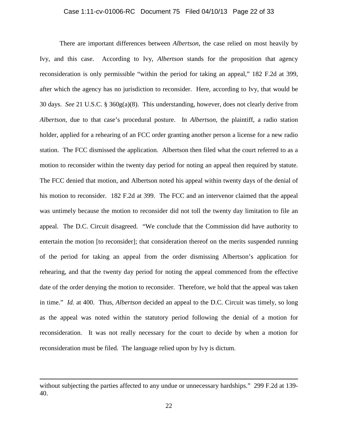#### Case 1:11-cv-01006-RC Document 75 Filed 04/10/13 Page 22 of 33

There are important differences between *Albertson*, the case relied on most heavily by Ivy, and this case. According to Ivy, *Albertson* stands for the proposition that agency reconsideration is only permissible "within the period for taking an appeal," 182 F.2d at 399, after which the agency has no jurisdiction to reconsider. Here, according to Ivy, that would be 30 days. *See* 21 U.S.C. § 360g(a)(8). This understanding, however, does not clearly derive from *Albertson*, due to that case's procedural posture. In *Albertson*, the plaintiff, a radio station holder, applied for a rehearing of an FCC order granting another person a license for a new radio station. The FCC dismissed the application. Albertson then filed what the court referred to as a motion to reconsider within the twenty day period for noting an appeal then required by statute. The FCC denied that motion, and Albertson noted his appeal within twenty days of the denial of his motion to reconsider. 182 F.2d at 399. The FCC and an intervenor claimed that the appeal was untimely because the motion to reconsider did not toll the twenty day limitation to file an appeal. The D.C. Circuit disagreed. "We conclude that the Commission did have authority to entertain the motion [to reconsider]; that consideration thereof on the merits suspended running of the period for taking an appeal from the order dismissing Albertson's application for rehearing, and that the twenty day period for noting the appeal commenced from the effective date of the order denying the motion to reconsider. Therefore, we hold that the appeal was taken in time." *Id.* at 400. Thus, *Albertson* decided an appeal to the D.C. Circuit was timely, so long as the appeal was noted within the statutory period following the denial of a motion for reconsideration. It was not really necessary for the court to decide by when a motion for reconsideration must be filed. The language relied upon by Ivy is dictum.

l

without subjecting the parties affected to any undue or unnecessary hardships." 299 F.2d at 139-40.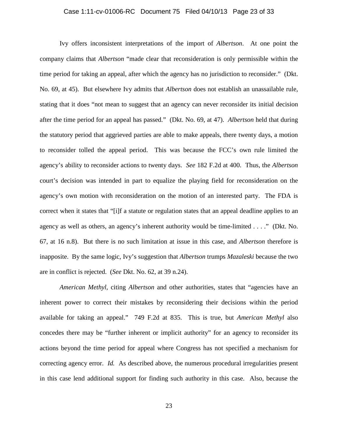#### Case 1:11-cv-01006-RC Document 75 Filed 04/10/13 Page 23 of 33

Ivy offers inconsistent interpretations of the import of *Albertson*. At one point the company claims that *Albertson* "made clear that reconsideration is only permissible within the time period for taking an appeal, after which the agency has no jurisdiction to reconsider." (Dkt. No. 69, at 45). But elsewhere Ivy admits that *Albertson* does not establish an unassailable rule, stating that it does "not mean to suggest that an agency can never reconsider its initial decision after the time period for an appeal has passed." (Dkt. No. 69, at 47). *Albertson* held that during the statutory period that aggrieved parties are able to make appeals, there twenty days, a motion to reconsider tolled the appeal period. This was because the FCC's own rule limited the agency's ability to reconsider actions to twenty days. *See* 182 F.2d at 400. Thus, the *Albertson* court's decision was intended in part to equalize the playing field for reconsideration on the agency's own motion with reconsideration on the motion of an interested party. The FDA is correct when it states that "[i]f a statute or regulation states that an appeal deadline applies to an agency as well as others, an agency's inherent authority would be time-limited . . . ." (Dkt. No. 67, at 16 n.8). But there is no such limitation at issue in this case, and *Albertson* therefore is inapposite. By the same logic, Ivy's suggestion that *Albertson* trumps *Mazaleski* because the two are in conflict is rejected. (*See* Dkt. No. 62, at 39 n.24).

*American Methyl*, citing *Albertson* and other authorities, states that "agencies have an inherent power to correct their mistakes by reconsidering their decisions within the period available for taking an appeal." 749 F.2d at 835. This is true, but *American Methyl* also concedes there may be "further inherent or implicit authority" for an agency to reconsider its actions beyond the time period for appeal where Congress has not specified a mechanism for correcting agency error. *Id.* As described above, the numerous procedural irregularities present in this case lend additional support for finding such authority in this case. Also, because the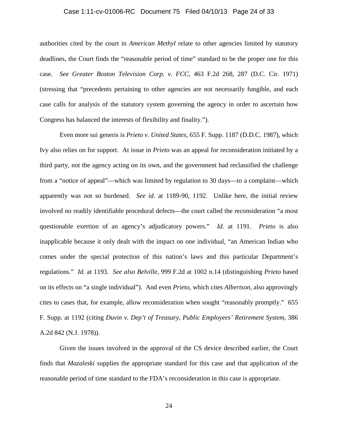#### Case 1:11-cv-01006-RC Document 75 Filed 04/10/13 Page 24 of 33

authorities cited by the court in *American Methyl* relate to other agencies limited by statutory deadlines, the Court finds the "reasonable period of time" standard to be the proper one for this case. *See Greater Boston Television Corp. v. FCC*, 463 F.2d 268, 287 (D.C. Cir. 1971) (stressing that "precedents pertaining to other agencies are not necessarily fungible, and each case calls for analysis of the statutory system governing the agency in order to ascertain how Congress has balanced the interests of flexibility and finality.").

Even more sui generis is *Prieto v. United States*, 655 F. Supp. 1187 (D.D.C. 1987), which Ivy also relies on for support. At issue in *Prieto* was an appeal for reconsideration initiated by a third party, not the agency acting on its own, and the government had reclassified the challenge from a "notice of appeal"—which was limited by regulation to 30 days—to a complaint—which apparently was not so burdened. *See id.* at 1189-90, 1192. Unlike here, the initial review involved no readily identifiable procedural defects—the court called the reconsideration "a most questionable exertion of an agency's adjudicatory powers." *Id.* at 1191. *Prieto* is also inapplicable because it only dealt with the impact on one individual, "an American Indian who comes under the special protection of this nation's laws and this particular Department's regulations." *Id.* at 1193. *See also Belville*, 999 F.2d at 1002 n.14 (distinguishing *Prieto* based on its effects on "a single individual"). And even *Prieto*, which cites *Albertson*, also approvingly cites to cases that, for example, allow reconsideration when sought "reasonably promptly." 655 F. Supp. at 1192 (citing *Duvin v. Dep't of Treasury, Public Employees' Retirement System*, 386 A.2d 842 (N.J. 1978)).

Given the issues involved in the approval of the CS device described earlier, the Court finds that *Mazaleski* supplies the appropriate standard for this case and that application of the reasonable period of time standard to the FDA's reconsideration in this case is appropriate.

24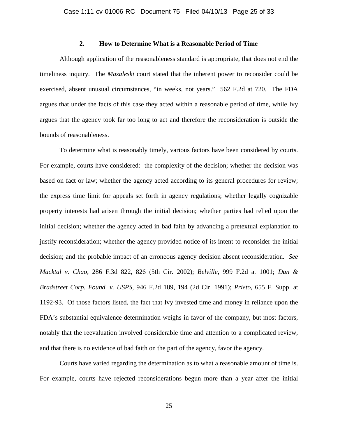# **2. How to Determine What is a Reasonable Period of Time**

Although application of the reasonableness standard is appropriate, that does not end the timeliness inquiry. The *Mazaleski* court stated that the inherent power to reconsider could be exercised, absent unusual circumstances, "in weeks, not years." 562 F.2d at 720. The FDA argues that under the facts of this case they acted within a reasonable period of time, while Ivy argues that the agency took far too long to act and therefore the reconsideration is outside the bounds of reasonableness.

To determine what is reasonably timely, various factors have been considered by courts. For example, courts have considered: the complexity of the decision; whether the decision was based on fact or law; whether the agency acted according to its general procedures for review; the express time limit for appeals set forth in agency regulations; whether legally cognizable property interests had arisen through the initial decision; whether parties had relied upon the initial decision; whether the agency acted in bad faith by advancing a pretextual explanation to justify reconsideration; whether the agency provided notice of its intent to reconsider the initial decision; and the probable impact of an erroneous agency decision absent reconsideration. *See Macktal v. Chao*, 286 F.3d 822, 826 (5th Cir. 2002); *Belville*, 999 F.2d at 1001; *Dun & Bradstreet Corp. Found. v. USPS*, 946 F.2d 189, 194 (2d Cir. 1991); *Prieto*, 655 F. Supp. at 1192-93. Of those factors listed, the fact that Ivy invested time and money in reliance upon the FDA's substantial equivalence determination weighs in favor of the company, but most factors, notably that the reevaluation involved considerable time and attention to a complicated review, and that there is no evidence of bad faith on the part of the agency, favor the agency.

Courts have varied regarding the determination as to what a reasonable amount of time is. For example, courts have rejected reconsiderations begun more than a year after the initial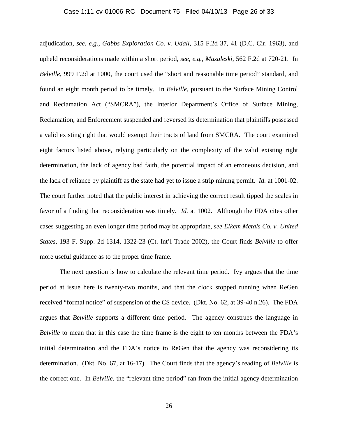#### Case 1:11-cv-01006-RC Document 75 Filed 04/10/13 Page 26 of 33

adjudication, *see, e.g.*, *Gabbs Exploration Co. v. Udall*, 315 F.2d 37, 41 (D.C. Cir. 1963), and upheld reconsiderations made within a short period, *see, e.g.*, *Mazaleski*, 562 F.2d at 720-21. In *Belville*, 999 F.2d at 1000, the court used the "short and reasonable time period" standard, and found an eight month period to be timely. In *Belville*, pursuant to the Surface Mining Control and Reclamation Act ("SMCRA"), the Interior Department's Office of Surface Mining, Reclamation, and Enforcement suspended and reversed its determination that plaintiffs possessed a valid existing right that would exempt their tracts of land from SMCRA. The court examined eight factors listed above, relying particularly on the complexity of the valid existing right determination, the lack of agency bad faith, the potential impact of an erroneous decision, and the lack of reliance by plaintiff as the state had yet to issue a strip mining permit. *Id.* at 1001-02. The court further noted that the public interest in achieving the correct result tipped the scales in favor of a finding that reconsideration was timely. *Id.* at 1002. Although the FDA cites other cases suggesting an even longer time period may be appropriate, *see Elkem Metals Co. v. United States*, 193 F. Supp. 2d 1314, 1322-23 (Ct. Int'l Trade 2002), the Court finds *Belville* to offer more useful guidance as to the proper time frame.

The next question is how to calculate the relevant time period. Ivy argues that the time period at issue here is twenty-two months, and that the clock stopped running when ReGen received "formal notice" of suspension of the CS device. (Dkt. No. 62, at 39-40 n.26). The FDA argues that *Belville* supports a different time period. The agency construes the language in *Belville* to mean that in this case the time frame is the eight to ten months between the FDA's initial determination and the FDA's notice to ReGen that the agency was reconsidering its determination. (Dkt. No. 67, at 16-17). The Court finds that the agency's reading of *Belville* is the correct one. In *Belville*, the "relevant time period" ran from the initial agency determination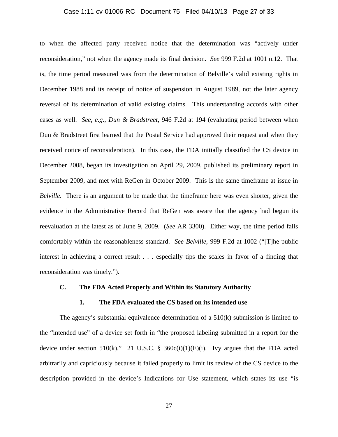#### Case 1:11-cv-01006-RC Document 75 Filed 04/10/13 Page 27 of 33

to when the affected party received notice that the determination was "actively under reconsideration," not when the agency made its final decision. *See* 999 F.2d at 1001 n.12. That is, the time period measured was from the determination of Belville's valid existing rights in December 1988 and its receipt of notice of suspension in August 1989, not the later agency reversal of its determination of valid existing claims. This understanding accords with other cases as well. *See, e.g.*, *Dun & Bradstreet*, 946 F.2d at 194 (evaluating period between when Dun & Bradstreet first learned that the Postal Service had approved their request and when they received notice of reconsideration). In this case, the FDA initially classified the CS device in December 2008, began its investigation on April 29, 2009, published its preliminary report in September 2009, and met with ReGen in October 2009. This is the same timeframe at issue in *Belville*. There is an argument to be made that the timeframe here was even shorter, given the evidence in the Administrative Record that ReGen was aware that the agency had begun its reevaluation at the latest as of June 9, 2009. (*See* AR 3300). Either way, the time period falls comfortably within the reasonableness standard. *See Belville*, 999 F.2d at 1002 ("[T]he public interest in achieving a correct result . . . especially tips the scales in favor of a finding that reconsideration was timely.").

#### **C. The FDA Acted Properly and Within its Statutory Authority**

#### **1. The FDA evaluated the CS based on its intended use**

The agency's substantial equivalence determination of a 510(k) submission is limited to the "intended use" of a device set forth in "the proposed labeling submitted in a report for the device under section 510(k)." 21 U.S.C. § 360 $c(i)(1)(E)(i)$ . Ivy argues that the FDA acted arbitrarily and capriciously because it failed properly to limit its review of the CS device to the description provided in the device's Indications for Use statement, which states its use "is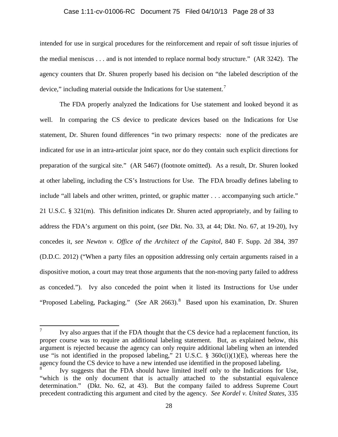#### Case 1:11-cv-01006-RC Document 75 Filed 04/10/13 Page 28 of 33

intended for use in surgical procedures for the reinforcement and repair of soft tissue injuries of the medial meniscus . . . and is not intended to replace normal body structure." (AR 3242). The agency counters that Dr. Shuren properly based his decision on "the labeled description of the device," including material outside the Indications for Use statement.<sup>[7](#page-27-0)</sup>

The FDA properly analyzed the Indications for Use statement and looked beyond it as well. In comparing the CS device to predicate devices based on the Indications for Use statement, Dr. Shuren found differences "in two primary respects: none of the predicates are indicated for use in an intra-articular joint space, nor do they contain such explicit directions for preparation of the surgical site." (AR 5467) (footnote omitted). As a result, Dr. Shuren looked at other labeling, including the CS's Instructions for Use. The FDA broadly defines labeling to include "all labels and other written, printed, or graphic matter . . . accompanying such article." 21 U.S.C. § 321(m). This definition indicates Dr. Shuren acted appropriately, and by failing to address the FDA's argument on this point, (*see* Dkt. No. 33, at 44; Dkt. No. 67, at 19-20), Ivy concedes it, *see Newton v. Office of the Architect of the Capitol*, 840 F. Supp. 2d 384, 397 (D.D.C. 2012) ("When a party files an opposition addressing only certain arguments raised in a dispositive motion, a court may treat those arguments that the non-moving party failed to address as conceded."). Ivy also conceded the point when it listed its Instructions for Use under "Proposed Labeling, Packaging." (*See* AR 2663).<sup>[8](#page-27-1)</sup> Based upon his examination, Dr. Shuren

<span id="page-27-0"></span> $\frac{7}{10}$  Ivy also argues that if the FDA thought that the CS device had a replacement function, its proper course was to require an additional labeling statement. But, as explained below, this argument is rejected because the agency can only require additional labeling when an intended use "is not identified in the proposed labeling," 21 U.S.C. § 360c(i)(1)(E), whereas here the agency found the CS device to have a new intended use identified in the proposed labeling.

<span id="page-27-1"></span>Ivy suggests that the FDA should have limited itself only to the Indications for Use, "which is the only document that is actually attached to the substantial equivalence determination." (Dkt. No. 62, at 43). But the company failed to address Supreme Court precedent contradicting this argument and cited by the agency. *See Kordel v. United States*, 335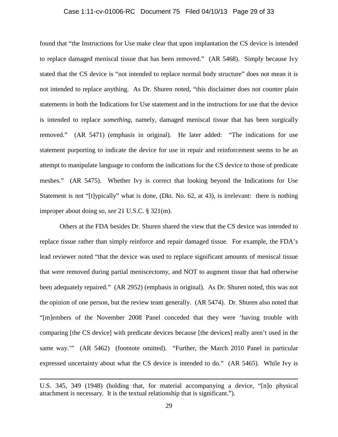#### Case 1:11-cv-01006-RC Document 75 Filed 04/10/13 Page 29 of 33

found that "the Instructions for Use make clear that upon implantation the CS device is intended to replace damaged meniscal tissue that has been removed." (AR 5468). Simply because Ivy stated that the CS device is "not intended to replace normal body structure" does not mean it is not intended to replace anything. As Dr. Shuren noted, "this disclaimer does not counter plain statements in both the Indications for Use statement and in the instructions for use that the device is intended to replace *something*, namely, damaged meniscal tissue that has been surgically removed." (AR 5471) (emphasis in original). He later added: "The indications for use statement purporting to indicate the device for use in repair and reinforcement seems to be an attempt to manipulate language to conform the indications for the CS device to those of predicate meshes." (AR 5475). Whether Ivy is correct that looking beyond the Indications for Use Statement is not "[t]ypically" what is done, (Dkt. No. 62, at 43), is irrelevant: there is nothing improper about doing so, *see* 21 U.S.C. § 321(m).

Others at the FDA besides Dr. Shuren shared the view that the CS device was intended to replace tissue rather than simply reinforce and repair damaged tissue. For example, the FDA's lead reviewer noted "that the device was used to replace significant amounts of meniscal tissue that were removed during partial meniscectomy, and NOT to augment tissue that had otherwise been adequately repaired." (AR 2952) (emphasis in original). As Dr. Shuren noted, this was not the opinion of one person, but the review team generally. (AR 5474). Dr. Shuren also noted that "[m]embers of the November 2008 Panel conceded that they were 'having trouble with comparing [the CS device] with predicate devices because [the devices] really aren't used in the same way.'" (AR 5462) (footnote omitted). "Further, the March 2010 Panel in particular expressed uncertainty about what the CS device is intended to do." (AR 5465). While Ivy is

l

U.S. 345, 349 (1948) (holding that, for material accompanying a device, "[n]o physical attachment is necessary. It is the textual relationship that is significant.").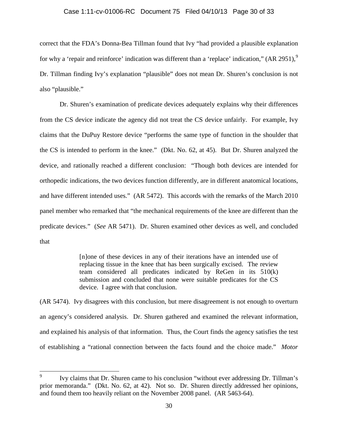#### Case 1:11-cv-01006-RC Document 75 Filed 04/10/13 Page 30 of 33

correct that the FDA's Donna-Bea Tillman found that Ivy "had provided a plausible explanation for why a 'repair and reinforce' indication was different than a 'replace' indication,"  $(AR 2951)$  $(AR 2951)$  $(AR 2951)$ ,  $(9)$ Dr. Tillman finding Ivy's explanation "plausible" does not mean Dr. Shuren's conclusion is not also "plausible."

Dr. Shuren's examination of predicate devices adequately explains why their differences from the CS device indicate the agency did not treat the CS device unfairly. For example, Ivy claims that the DuPuy Restore device "performs the same type of function in the shoulder that the CS is intended to perform in the knee." (Dkt. No. 62, at 45). But Dr. Shuren analyzed the device, and rationally reached a different conclusion: "Though both devices are intended for orthopedic indications, the two devices function differently, are in different anatomical locations, and have different intended uses." (AR 5472). This accords with the remarks of the March 2010 panel member who remarked that "the mechanical requirements of the knee are different than the predicate devices." (*See* AR 5471). Dr. Shuren examined other devices as well, and concluded that

> [n]one of these devices in any of their iterations have an intended use of replacing tissue in the knee that has been surgically excised. The review team considered all predicates indicated by ReGen in its 510(k) submission and concluded that none were suitable predicates for the CS device. I agree with that conclusion.

(AR 5474). Ivy disagrees with this conclusion, but mere disagreement is not enough to overturn an agency's considered analysis. Dr. Shuren gathered and examined the relevant information, and explained his analysis of that information. Thus, the Court finds the agency satisfies the test of establishing a "rational connection between the facts found and the choice made." *Motor* 

<span id="page-29-0"></span><sup>9</sup> Ivy claims that Dr. Shuren came to his conclusion "without ever addressing Dr. Tillman's prior memoranda." (Dkt. No. 62, at 42). Not so. Dr. Shuren directly addressed her opinions, and found them too heavily reliant on the November 2008 panel. (AR 5463-64).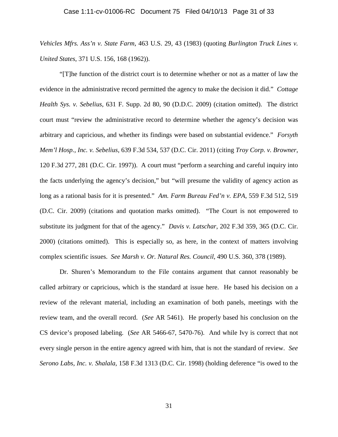*Vehicles Mfrs. Ass'n v. State Farm*, 463 U.S. 29, 43 (1983) (quoting *Burlington Truck Lines v. United States*, 371 U.S. 156, 168 (1962)).

"[T]he function of the district court is to determine whether or not as a matter of law the evidence in the administrative record permitted the agency to make the decision it did." *Cottage Health Sys. v. Sebelius*, 631 F. Supp. 2d 80, 90 (D.D.C. 2009) (citation omitted). The district court must "review the administrative record to determine whether the agency's decision was arbitrary and capricious, and whether its findings were based on substantial evidence." *Forsyth Mem'l Hosp., Inc. v. Sebelius*, 639 F.3d 534, 537 (D.C. Cir. 2011) (citing *Troy Corp. v. Browner*, 120 F.3d 277, 281 (D.C. Cir. 1997)). A court must "perform a searching and careful inquiry into the facts underlying the agency's decision," but "will presume the validity of agency action as long as a rational basis for it is presented." *Am. Farm Bureau Fed'n v. EPA*, 559 F.3d 512, 519 (D.C. Cir. 2009) (citations and quotation marks omitted). "The Court is not empowered to substitute its judgment for that of the agency." *Davis v. Latschar*, 202 F.3d 359, 365 (D.C. Cir. 2000) (citations omitted). This is especially so, as here, in the context of matters involving complex scientific issues. *See Marsh v. Or. Natural Res. Council*, 490 U.S. 360, 378 (1989).

Dr. Shuren's Memorandum to the File contains argument that cannot reasonably be called arbitrary or capricious, which is the standard at issue here. He based his decision on a review of the relevant material, including an examination of both panels, meetings with the review team, and the overall record. (*See* AR 5461). He properly based his conclusion on the CS device's proposed labeling. (*See* AR 5466-67, 5470-76). And while Ivy is correct that not every single person in the entire agency agreed with him, that is not the standard of review. *See Serono Labs, Inc. v. Shalala*, 158 F.3d 1313 (D.C. Cir. 1998) (holding deference "is owed to the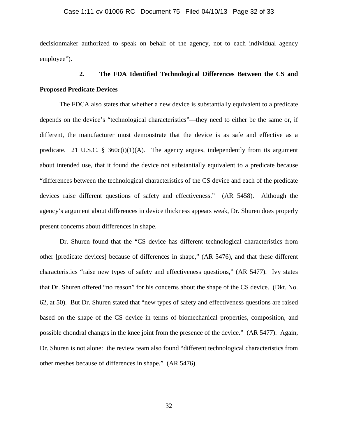#### Case 1:11-cv-01006-RC Document 75 Filed 04/10/13 Page 32 of 33

decisionmaker authorized to speak on behalf of the agency, not to each individual agency employee").

# **2. The FDA Identified Technological Differences Between the CS and Proposed Predicate Devices**

The FDCA also states that whether a new device is substantially equivalent to a predicate depends on the device's "technological characteristics"—they need to either be the same or, if different, the manufacturer must demonstrate that the device is as safe and effective as a predicate. 21 U.S.C. §  $360c(i)(1)(A)$ . The agency argues, independently from its argument about intended use, that it found the device not substantially equivalent to a predicate because "differences between the technological characteristics of the CS device and each of the predicate devices raise different questions of safety and effectiveness." (AR 5458). Although the agency's argument about differences in device thickness appears weak, Dr. Shuren does properly present concerns about differences in shape.

Dr. Shuren found that the "CS device has different technological characteristics from other [predicate devices] because of differences in shape," (AR 5476), and that these different characteristics "raise new types of safety and effectiveness questions," (AR 5477). Ivy states that Dr. Shuren offered "no reason" for his concerns about the shape of the CS device. (Dkt. No. 62, at 50). But Dr. Shuren stated that "new types of safety and effectiveness questions are raised based on the shape of the CS device in terms of biomechanical properties, composition, and possible chondral changes in the knee joint from the presence of the device." (AR 5477). Again, Dr. Shuren is not alone: the review team also found "different technological characteristics from other meshes because of differences in shape." (AR 5476).